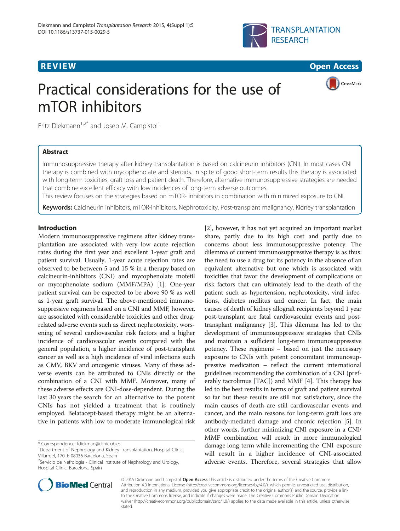



CrossMark

# Practical considerations for the use of mTOR inhibitors

Fritz Diekmann<sup>1,2\*</sup> and Josep M. Campistol<sup>1</sup>

# Abstract

Immunosuppressive therapy after kidney transplantation is based on calcineurin inhibitors (CNI). In most cases CNI therapy is combined with mycophenolate and steroids. In spite of good short-term results this therapy is associated with long-term toxicities, graft loss and patient death. Therefore, alternative immunosuppressive strategies are needed that combine excellent efficacy with low incidences of long-term adverse outcomes.

This review focuses on the strategies based on mTOR- inhibitors in combination with minimized exposure to CNI.

Keywords: Calcineurin inhibitors, mTOR-inhibitors, Nephrotoxicity, Post-transplant malignancy, Kidney transplantation

## Introduction

Modern immunosuppressive regimens after kidney transplantation are associated with very low acute rejection rates during the first year and excellent 1-year graft and patient survival. Usually, 1-year acute rejection rates are observed to be between 5 and 15 % in a therapy based on calcineurin-inhibitors (CNI) and mycophenolate mofetil or mycophenolate sodium (MMF/MPA) [\[1\]](#page-4-0). One-year patient survival can be expected to be above 90 % as well as 1-year graft survival. The above-mentioned immunosuppressive regimens based on a CNI and MMF, however, are associated with considerable toxicities and other drugrelated adverse events such as direct nephrotoxicity, worsening of several cardiovascular risk factors and a higher incidence of cardiovascular events compared with the general population, a higher incidence of post-transplant cancer as well as a high incidence of viral infections such as CMV, BKV and oncogenic viruses. Many of these adverse events can be attributed to CNIs directly or the combination of a CNI with MMF. Moreover, many of these adverse effects are CNI-dose-dependent. During the last 30 years the search for an alternative to the potent CNIs has not yielded a treatment that is routinely employed. Belatacept-based therapy might be an alternative in patients with low to moderate immunological risk

**BioMed Central** 

<sup>&</sup>lt;sup>2</sup>Servicio de Nefrología - Clinical Institute of Nephrology and Urology, Hospital Clinic, Barcelona, Spain



[[2\]](#page-4-0), however, it has not yet acquired an important market share, partly due to its high cost and partly due to concerns about less immunosuppressive potency. The

© 2015 Diekmann and Campistol. Open Access This article is distributed under the terms of the Creative Commons Attribution 4.0 International License [\(http://creativecommons.org/licenses/by/4.0/](http://creativecommons.org/licenses/by/4.0/)), which permits unrestricted use, distribution, and reproduction in any medium, provided you give appropriate credit to the original author(s) and the source, provide a link to the Creative Commons license, and indicate if changes were made. The Creative Commons Public Domain Dedication waiver [\(http://creativecommons.org/publicdomain/zero/1.0/\)](http://creativecommons.org/publicdomain/zero/1.0/) applies to the data made available in this article, unless otherwise stated.

<sup>\*</sup> Correspondence: [fdiekman@clinic.ub.es](mailto:fdiekman@clinic.ub.es) <sup>1</sup>

<sup>&</sup>lt;sup>1</sup> Department of Nephrology and Kidney Transplantation, Hospital Clínic, Villarroel, 170, E-08036 Barcelona, Spain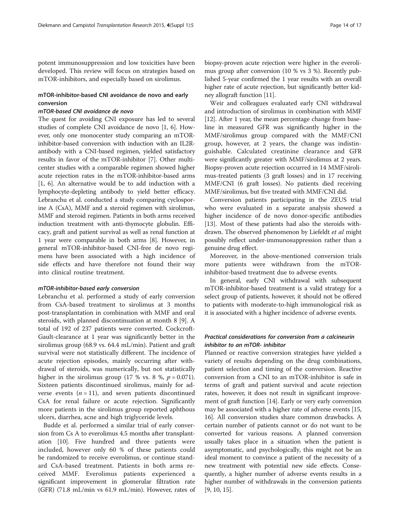potent immunosuppression and low toxicities have been developed. This review will focus on strategies based on mTOR-inhibitors, and especially based on sirolimus.

### mTOR-inhibitor-based CNI avoidance de novo and early conversion

#### mTOR-based CNI avoidance de novo

The quest for avoiding CNI exposure has led to several studies of complete CNI avoidance de novo [\[1](#page-4-0), [6\]](#page-4-0). However, only one monocenter study comparing an mTORinhibitor-based conversion with induction with an IL2Rantibody with a CNI-based regimen, yielded satisfactory results in favor of the mTOR-inhibitor [\[7\]](#page-4-0). Other multicenter studies with a comparable regimen showed higher acute rejection rates in the mTOR-inhibitor-based arms [[1, 6\]](#page-4-0). An alternative would be to add induction with a lymphocyte-depleting antibody to yield better efficacy. Lebranchu et al. conducted a study comparing cyclosporine A (CsA), MMF and a steroid regimen with sirolimus, MMF and steroid regimen. Patients in both arms received induction treatment with anti-thymocyte globulin. Efficacy, graft and patient survival as well as renal function at 1 year were comparable in both arms [[8\]](#page-4-0). However, in general mTOR-inhibitor-based CNI-free de novo regimens have been associated with a high incidence of side effects and have therefore not found their way into clinical routine treatment.

#### mTOR-inhibitor-based early conversion

Lebranchu et al. performed a study of early conversion from CsA-based treatment to sirolimus at 3 months post-transplantation in combination with MMF and oral steroids, with planned discontinuation at month 8 [\[9](#page-4-0)]. A total of 192 of 237 patients were converted. Cockcroft-Gault-clearance at 1 year was significantly better in the sirolimus group (68.9 vs. 64.4 mL/min). Patient and graft survival were not statistically different. The incidence of acute rejection episodes, mainly occurring after withdrawal of steroids, was numerically, but not statistically higher in the sirolimus group (17 % vs. 8 %,  $p = 0.071$ ). Sixteen patients discontinued sirolimus, mainly for adverse events  $(n = 11)$ , and seven patients discontinued CsA for renal failure or acute rejection. Significantly more patients in the sirolimus group reported aphthous ulcers, diarrhea, acne and high triglyceride levels.

Budde et al. performed a similar trial of early conversion from Cs A to everolimus 4.5 months after transplantation [\[10](#page-4-0)]. Five hundred and three patients were included, however only 60 % of these patients could be randomized to receive everolimus, or continue standard CsA-based treatment. Patients in both arms received MMF. Everolimus patients experienced a significant improvement in glomerular filtration rate (GFR) (71.8 mL/min vs 61.9 mL/min). However, rates of biopsy-proven acute rejection were higher in the everolimus group after conversion (10 % vs 3 %). Recently published 5-year confirmed the 1 year results with an overall higher rate of acute rejection, but significantly better kidney allograft function [[11](#page-4-0)].

Weir and colleagues evaluated early CNI withdrawal and introduction of sirolimus in combination with MMF [[12](#page-4-0)]. After 1 year, the mean percentage change from baseline in measured GFR was significantly higher in the MMF/sirolimus group compared with the MMF/CNI group, however, at 2 years, the change was indistinguishable. Calculated creatinine clearance and GFR were significantly greater with MMF/sirolimus at 2 years. Biopsy-proven acute rejection occurred in 14 MMF/sirolimus-treated patients (3 graft losses) and in 17 receiving MMF/CNI (6 graft losses). No patients died receiving MMF/sirolimus, but five treated with MMF/CNI did.

Conversion patients participating in the ZEUS trial who were evaluated in a separate analysis showed a higher incidence of de novo donor-specific antibodies [[13\]](#page-4-0). Most of these patients had also the steroids withdrawn. The observed phenomenon by Liefeldt et al might possibly reflect under-immunosuppression rather than a genuine drug effect.

Moreover, in the above-mentioned conversion trials more patients were withdrawn from the mTORinhibitor-based treatment due to adverse events.

In general, early CNI withdrawal with subsequent mTOR-inhibitor-based treatment is a valid strategy for a select group of patients, however, it should not be offered to patients with moderate-to-high immunological risk as it is associated with a higher incidence of adverse events.

# Practical considerations for conversion from a calcineurin inhibitor to an mTOR- inhibitor

Planned or reactive conversion strategies have yielded a variety of results depending on the drug combinations, patient selection and timing of the conversion. Reactive conversion from a CNI to an mTOR-inhibitor is safe in terms of graft and patient survival and acute rejection rates, however, it does not result in significant improvement of graft function [\[14](#page-4-0)]. Early or very early conversion may be associated with a higher rate of adverse events [[15](#page-4-0), [16](#page-4-0)]. All conversion studies share common drawbacks. A certain number of patients cannot or do not want to be converted for various reasons. A planned conversion usually takes place in a situation when the patient is asymptomatic, and psychologically, this might not be an ideal moment to convince a patient of the necessity of a new treatment with potential new side effects. Consequently, a higher number of adverse events results in a higher number of withdrawals in the conversion patients [[9, 10, 15](#page-4-0)].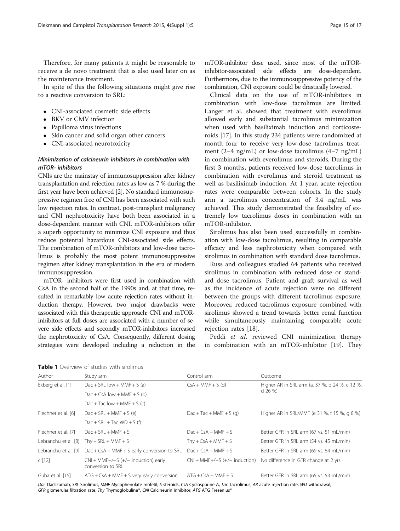<span id="page-2-0"></span>Therefore, for many patients it might be reasonable to receive a de novo treatment that is also used later on as the maintenance treatment.

In spite of this the following situations might give rise to a reactive conversion to SRL:

- CNI-associated cosmetic side effects
- BKV or CMV infection
- Papilloma virus infections
- Skin cancer and solid organ other cancers
- CNI-associated neurotoxicity

# Minimization of calcineurin inhibitors in combination with mTOR- inhibitors

CNIs are the mainstay of immunosuppression after kidney transplantation and rejection rates as low as 7 % during the first year have been achieved [\[2\]](#page-4-0). No standard immunosuppressive regimen free of CNI has been associated with such low rejection rates. In contrast, post-transplant malignancy and CNI nephrotoxicity have both been associated in a dose-dependent manner with CNI. mTOR-inhibitors offer a superb opportunity to minimize CNI exposure and thus reduce potential hazardous CNI-associated side effects. The combination of mTOR-inhibitors and low-dose tacrolimus is probably the most potent immunosuppressive regimen after kidney transplantation in the era of modern immunosuppression.

mTOR- inhibitors were first used in combination with CsA in the second half of the 1990s and, at that time, resulted in remarkably low acute rejection rates without induction therapy. However, two major drawbacks were associated with this therapeutic approach: CNI and mTORinhibitors at full doses are associated with a number of severe side effects and secondly mTOR-inhibitors increased the nephrotoxicity of CsA. Consequently, different dosing strategies were developed including a reduction in the mTOR-inhibitor dose used, since most of the mTORinhibitor-associated side effects are dose-dependent. Furthermore, due to the immunosuppressive potency of the combination, CNI exposure could be drastically lowered.

Clinical data on the use of mTOR-inhibitors in combination with low-dose tacrolimus are limited. Langer et al. showed that treatment with everolimus allowed early and substantial tacrolimus minimization when used with basiliximab induction and corticosteroids [\[17](#page-4-0)]. In this study 234 patients were randomized at month four to receive very low-dose tacrolimus treatment (2–4 ng/mL) or low-dose tacrolimus (4–7 ng/mL) in combination with everolimus and steroids. During the first 3 months, patients received low-dose tacrolimus in combination with everolimus and steroid treatment as well as basiliximab induction. At 1 year, acute rejection rates were comparable between cohorts. In the study arm a tacrolimus concentration of 3.4 ng/mL was achieved. This study demonstrated the feasibility of extremely low tacrolimus doses in combination with an mTOR-inhibitor.

Sirolimus has also been used successfully in combination with low-dose tacrolimus, resulting in comparable efficacy and less nephrotoxicity when compared with sirolimus in combination with standard dose tacrolimus.

Russ and colleagues studied 64 patients who received sirolimus in combination with reduced dose or standard dose tacrolimus. Patient and graft survival as well as the incidence of acute rejection were no different between the groups with different tacrolimus exposure. Moreover, reduced tacrolimus exposure combined with sirolimus showed a trend towards better renal function while simultaneously maintaining comparable acute rejection rates [[18\]](#page-4-0).

Peddi et al. reviewed CNI minimization therapy in combination with an mTOR-inhibitor [[19](#page-4-0)]. They

| Author               | Study arm                                                  | Control arm                     | Outcome                                                     |
|----------------------|------------------------------------------------------------|---------------------------------|-------------------------------------------------------------|
| Ekberg et al. [1]    | $Dac + SRL$ low + MMF + S (a)                              | $CsA + MMF + S$ (d)             | Higher AR in SRL arm (a. 37 %, b 24 %, c 12 %,<br>$d$ 26 %) |
|                      | $Dac + CsA$ low + MMF + S (b)                              |                                 |                                                             |
|                      | $Dac + Tac$ low + MMF + S (c)                              |                                 |                                                             |
| Flechner et al. [6]  | $Dac + SRL + MMF + S$ (e)                                  | $Dac + Tac + MMF + S$ (g)       | Higher AR in SRL/MMF (e 31 %, f 15 %, g 8 %)                |
|                      | Dac + SRL + Tac $WD + S$ (f)                               |                                 |                                                             |
| Flechner et al. [7]  | $Dac + SRL + MMF + S$                                      | $Dac + CsA + MMF + S$           | Better GFR in SRL arm (67 vs. 51 mL/min)                    |
| Lebranchu et al. [8] | Thy + $SRL + MMF + S$                                      | Thy + $CsA + MMF + S$           | Better GFR in SRL arm (54 vs. 45 mL/min)                    |
| Lebranchu et al. [9] | $Dac + CsA + MMF + S$ early conversion to SRL              | $Dac + CsA + MMF + S$           | Better GFR in SRL arm (69 vs. 64 mL/min)                    |
| C[12]                | $CNI + MMF+/-S$ (+/- induction) early<br>conversion to SRL | $CNI + MMF+/-S$ (+/- induction) | No difference in GFR change at 2 yrs                        |
| Guba et al. [15]     | $ATG + CsA + MMF + S$ very early conversion                | $ATG + CsA + MMF + S$           | Better GFR in SRL arm (65 vs. 53 mL/min)                    |

Dac Daclizumab, SRL Sirolimus, MMF Mycophenolate mofetil, S steroids, CsA Cyclosporine A, Tac Tacrolimus, AR acute rejection rate, WD withdrawal, GFR glomerular filtration rate, Thy Thymoglobuline®, CNI Calcineurin inhibitor, ATG ATG Fresenius®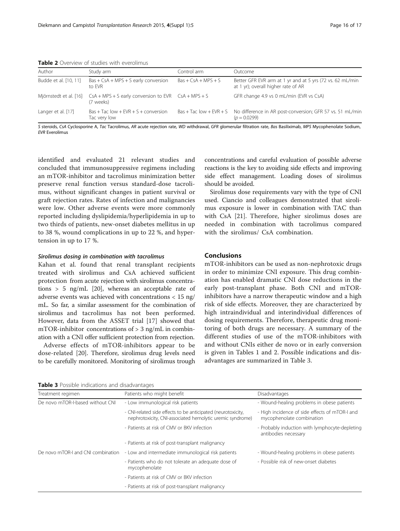| Author                | Study arm                                                                                   | Control arm           | Outcome                                                                                             |  |  |
|-----------------------|---------------------------------------------------------------------------------------------|-----------------------|-----------------------------------------------------------------------------------------------------|--|--|
| Budde et al. [10, 11] | $Bas + CsA + MPS + S$ early conversion<br>to FVR                                            | $Bas + CsA + MPS + S$ | Better GFR EVR arm at 1 yr and at 5 yrs (72 vs. 62 mL/min<br>at 1 yr); overall higher rate of AR    |  |  |
|                       | Mjörnstedt et al. [16] $CSA + MPS + S$ early conversion to EVR $CSA + MPS + S$<br>(7 weeks) |                       | GFR change 4.9 vs 0 mL/min (EVR vs CsA)                                                             |  |  |
| Langer et al. [17]    | $Bas + Tac$ low $+ EVR + S + conversion$<br>Tac very low                                    |                       | Bas + Tac low + EVR + S No difference in AR post-conversion; GFR 57 vs. 51 mL/min<br>$(p = 0.0299)$ |  |  |

Table 2 Overview of studies with everolimus

S steroids, CsA Cyclosporine A, Tac Tacrolimus, AR acute rejection rate, WD withdrawal, GFR glomerular filtration rate, Bas Basiliximab, MPS Mycophenolate Sodium, EVR Everolimus

identified and evaluated 21 relevant studies and concluded that immunosuppressive regimens including an mTOR-inhibitor and tacrolimus minimization better preserve renal function versus standard-dose tacrolimus, without significant changes in patient survival or graft rejection rates. Rates of infection and malignancies were low. Other adverse events were more commonly reported including dyslipidemia/hyperlipidemia in up to two thirds of patients, new-onset diabetes mellitus in up to 38 %, wound complications in up to 22 %, and hypertension in up to 17 %.

#### Sirolimus dosing in combination with tacrolimus

Kahan et al. found that renal transplant recipients treated with sirolimus and CsA achieved sufficient protection from acute rejection with sirolimus concentrations > 5 ng/mL [[20](#page-4-0)], whereas an acceptable rate of adverse events was achieved with concentrations < 15 ng/ mL. So far, a similar assessment for the combination of sirolimus and tacrolimus has not been performed. However, data from the ASSET trial [\[17](#page-4-0)] showed that  $mTOR\text{-}inhibitor$  concentrations of  $> 3$  ng/mL in combination with a CNI offer sufficient protection from rejection.

Adverse effects of mTOR-inhibitors appear to be dose-related [\[20\]](#page-4-0). Therefore, sirolimus drug levels need to be carefully monitored. Monitoring of sirolimus trough concentrations and careful evaluation of possible adverse reactions is the key to avoiding side effects and improving side effect management. Loading doses of sirolimus should be avoided.

Sirolimus dose requirements vary with the type of CNI used. Ciancio and colleagues demonstrated that sirolimus exposure is lower in combination with TAC than with CsA [[21](#page-4-0)]. Therefore, higher sirolimus doses are needed in combination with tacrolimus compared with the sirolimus/ CsA combination.

# Conclusions

mTOR-inhibitors can be used as non-nephrotoxic drugs in order to minimize CNI exposure. This drug combination has enabled dramatic CNI dose reductions in the early post-transplant phase. Both CNI and mTORinhibitors have a narrow therapeutic window and a high risk of side effects. Moreover, they are characterized by high intraindividual and interindividual differences of dosing requirements. Therefore, therapeutic drug monitoring of both drugs are necessary. A summary of the different studies of use of the mTOR-inhibitors with and without CNIs either de novo or in early conversion is given in Tables [1](#page-2-0) and 2. Possible indications and disadvantages are summarized in Table 3.

Table 3 Possible indications and disadvantages

| Treatment regimen                  | Patients who might benefit                                                                                                | Disadvantages                                                               |
|------------------------------------|---------------------------------------------------------------------------------------------------------------------------|-----------------------------------------------------------------------------|
| De novo mTOR-I-based without CNI   | - Low immunological risk patients                                                                                         | - Wound-healing problems in obese patients                                  |
|                                    | - CNI-related side effects to be anticipated (neurotoxicity,<br>nephrotoxicity, CNI-associated hemolytic uremic syndrome) | - High incidence of side effects of mTOR-I and<br>mycophenolate combination |
|                                    | - Patients at risk of CMV or BKV infection                                                                                | - Probably induction with lymphocyte-depleting<br>antibodies necessary      |
|                                    | - Patients at risk of post-transplant malignancy                                                                          |                                                                             |
| De novo mTOR-I and CNI combination | - Low and intermediate immunological risk patients                                                                        | - Wound-healing problems in obese patients                                  |
|                                    | - Patients who do not tolerate an adequate dose of<br>mycophenolate                                                       | - Possible risk of new-onset diabetes                                       |
|                                    | - Patients at risk of CMV or BKV infection                                                                                |                                                                             |
|                                    | - Patients at risk of post-transplant malignancy                                                                          |                                                                             |